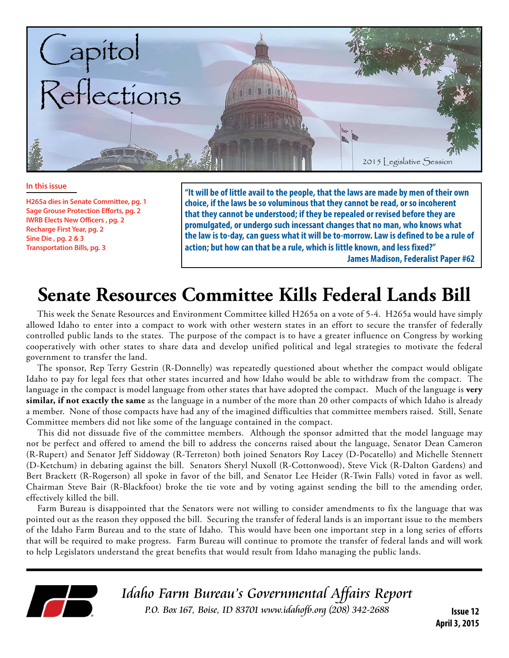

#### **In this issue**

**H265a dies in Senate Committee, pg. 1 Sage Grouse Protection Efforts, pg. 2 IWRB Elects New Officers , pg. 2 Recharge First Year, pg. 2 Sine Die , pg. 2 & 3 Transportation Bills, pg. 3**

**"It will be of little avail to the people, that the laws are made by men of their own choice, if the laws be so voluminous that they cannot be read, or so incoherent that they cannot be understood; if they be repealed or revised before they are promulgated, or undergo such incessant changes that no man, who knows what the law is to-day, can guess what it will be to-morrow. Law is defined to be a rule of action; but how can that be a rule, which is little known, and less fixed?" James Madison, Federalist Paper #62**

# **Senate Resources Committee Kills Federal Lands Bill**

This week the Senate Resources and Environment Committee killed H265a on a vote of 5-4. H265a would have simply allowed Idaho to enter into a compact to work with other western states in an effort to secure the transfer of federally controlled public lands to the states. The purpose of the compact is to have a greater influence on Congress by working cooperatively with other states to share data and develop unified political and legal strategies to motivate the federal government to transfer the land.

The sponsor, Rep Terry Gestrin (R-Donnelly) was repeatedly questioned about whether the compact would obligate Idaho to pay for legal fees that other states incurred and how Idaho would be able to withdraw from the compact. The language in the compact is model language from other states that have adopted the compact. Much of the language is **very similar, if not exactly the same** as the language in a number of the more than 20 other compacts of which Idaho is already a member. None of those compacts have had any of the imagined difficulties that committee members raised. Still, Senate Committee members did not like some of the language contained in the compact.

This did not dissuade five of the committee members. Although the sponsor admitted that the model language may not be perfect and offered to amend the bill to address the concerns raised about the language, Senator Dean Cameron (R-Rupert) and Senator Jeff Siddoway (R-Terreton) both joined Senators Roy Lacey (D-Pocatello) and Michelle Stennett (D-Ketchum) in debating against the bill. Senators Sheryl Nuxoll (R-Cottonwood), Steve Vick (R-Dalton Gardens) and Bert Brackett (R-Rogerson) all spoke in favor of the bill, and Senator Lee Heider (R-Twin Falls) voted in favor as well. Chairman Steve Bair (R-Blackfoot) broke the tie vote and by voting against sending the bill to the amending order, effectively killed the bill.

Farm Bureau is disappointed that the Senators were not willing to consider amendments to fix the language that was pointed out as the reason they opposed the bill. Securing the transfer of federal lands is an important issue to the members of the Idaho Farm Bureau and to the state of Idaho. This would have been one important step in a long series of efforts that will be required to make progress. Farm Bureau will continue to promote the transfer of federal lands and will work to help Legislators understand the great benefits that would result from Idaho managing the public lands.



Idaho Farm Bureau's Governmental Affairs Report P.O. Box 167, Boise, ID 83701 www.idahofb.org (208) 342-2688 **Issue 12**

**April 3, 2015**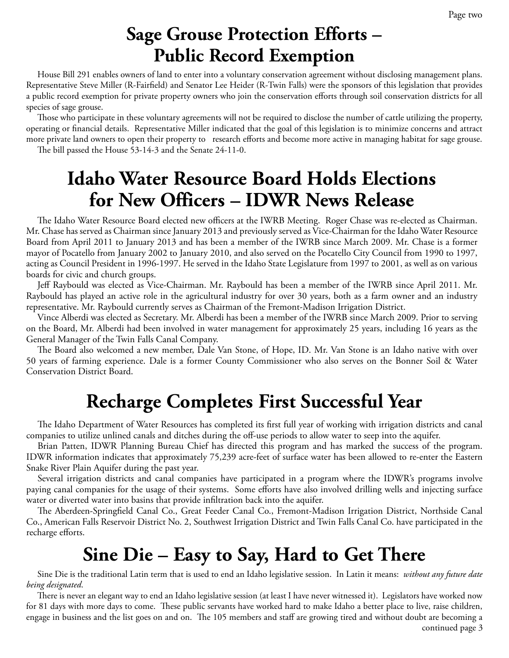# **Sage Grouse Protection Efforts – Public Record Exemption**

House Bill 291 enables owners of land to enter into a voluntary conservation agreement without disclosing management plans. Representative Steve Miller (R-Fairfield) and Senator Lee Heider (R-Twin Falls) were the sponsors of this legislation that provides a public record exemption for private property owners who join the conservation efforts through soil conservation districts for all species of sage grouse.

Those who participate in these voluntary agreements will not be required to disclose the number of cattle utilizing the property, operating or financial details. Representative Miller indicated that the goal of this legislation is to minimize concerns and attract more private land owners to open their property to research efforts and become more active in managing habitat for sage grouse. The bill passed the House 53-14-3 and the Senate 24-11-0.

**Idaho Water Resource Board Holds Elections for New Officers – IDWR News Release**

The Idaho Water Resource Board elected new officers at the IWRB Meeting. Roger Chase was re-elected as Chairman. Mr. Chase has served as Chairman since January 2013 and previously served as Vice-Chairman for the Idaho Water Resource Board from April 2011 to January 2013 and has been a member of the IWRB since March 2009. Mr. Chase is a former mayor of Pocatello from January 2002 to January 2010, and also served on the Pocatello City Council from 1990 to 1997, acting as Council President in 1996-1997. He served in the Idaho State Legislature from 1997 to 2001, as well as on various boards for civic and church groups.

Jeff Raybould was elected as Vice-Chairman. Mr. Raybould has been a member of the IWRB since April 2011. Mr. Raybould has played an active role in the agricultural industry for over 30 years, both as a farm owner and an industry representative. Mr. Raybould currently serves as Chairman of the Fremont-Madison Irrigation District.

Vince Alberdi was elected as Secretary. Mr. Alberdi has been a member of the IWRB since March 2009. Prior to serving on the Board, Mr. Alberdi had been involved in water management for approximately 25 years, including 16 years as the General Manager of the Twin Falls Canal Company.

The Board also welcomed a new member, Dale Van Stone, of Hope, ID. Mr. Van Stone is an Idaho native with over 50 years of farming experience. Dale is a former County Commissioner who also serves on the Bonner Soil & Water Conservation District Board.

# **Recharge Completes First Successful Year**

The Idaho Department of Water Resources has completed its first full year of working with irrigation districts and canal companies to utilize unlined canals and ditches during the off-use periods to allow water to seep into the aquifer.

Brian Patten, IDWR Planning Bureau Chief has directed this program and has marked the success of the program. IDWR information indicates that approximately 75,239 acre-feet of surface water has been allowed to re-enter the Eastern Snake River Plain Aquifer during the past year.

Several irrigation districts and canal companies have participated in a program where the IDWR's programs involve paying canal companies for the usage of their systems. Some efforts have also involved drilling wells and injecting surface water or diverted water into basins that provide infiltration back into the aquifer.

The Aberdeen-Springfield Canal Co., Great Feeder Canal Co., Fremont-Madison Irrigation District, Northside Canal Co., American Falls Reservoir District No. 2, Southwest Irrigation District and Twin Falls Canal Co. have participated in the recharge efforts.

# **Sine Die – Easy to Say, Hard to Get There**

Sine Die is the traditional Latin term that is used to end an Idaho legislative session. In Latin it means: *without any future date being designated*.

There is never an elegant way to end an Idaho legislative session (at least I have never witnessed it). Legislators have worked now for 81 days with more days to come. These public servants have worked hard to make Idaho a better place to live, raise children, engage in business and the list goes on and on. The 105 members and staff are growing tired and without doubt are becoming a

continued page 3